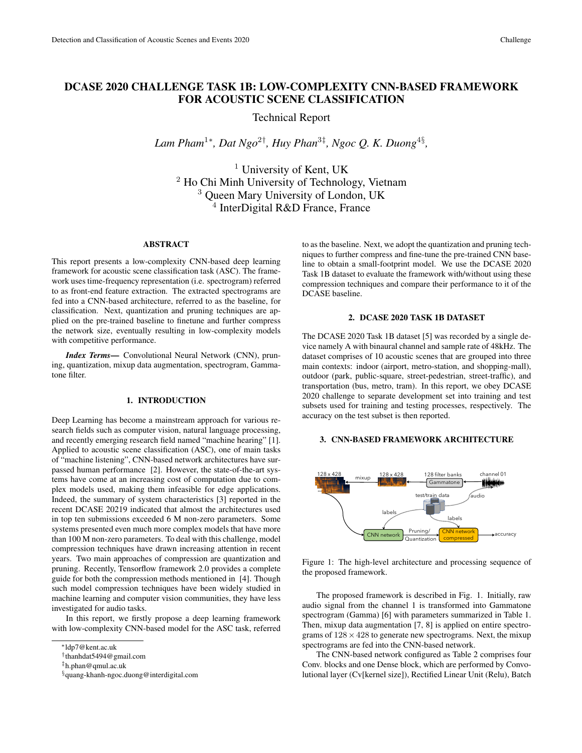# DCASE 2020 CHALLENGE TASK 1B: LOW-COMPLEXITY CNN-BASED FRAMEWORK FOR ACOUSTIC SCENE CLASSIFICATION

Technical Report

*Lam Pham*<sup>1</sup><sup>∗</sup> *, Dat Ngo*<sup>2</sup>† *, Huy Phan*<sup>3</sup>‡ *, Ngoc Q. K. Duong*<sup>4</sup>§ *,*

<sup>1</sup> University of Kent, UK <sup>2</sup> Ho Chi Minh University of Technology, Vietnam <sup>3</sup> Queen Mary University of London, UK  $4$  InterDigital R&D France, France

### ABSTRACT

This report presents a low-complexity CNN-based deep learning framework for acoustic scene classification task (ASC). The framework uses time-frequency representation (i.e. spectrogram) referred to as front-end feature extraction. The extracted spectrograms are fed into a CNN-based architecture, referred to as the baseline, for classification. Next, quantization and pruning techniques are applied on the pre-trained baseline to finetune and further compress the network size, eventually resulting in low-complexity models with competitive performance.

*Index Terms*— Convolutional Neural Network (CNN), pruning, quantization, mixup data augmentation, spectrogram, Gammatone filter.

#### 1. INTRODUCTION

Deep Learning has become a mainstream approach for various research fields such as computer vision, natural language processing, and recently emerging research field named "machine hearing" [1]. Applied to acoustic scene classification (ASC), one of main tasks of "machine listening", CNN-based network architectures have surpassed human performance [2]. However, the state-of-the-art systems have come at an increasing cost of computation due to complex models used, making them infeasible for edge applications. Indeed, the summary of system characteristics [3] reported in the recent DCASE 20219 indicated that almost the architectures used in top ten submissions exceeded 6 M non-zero parameters. Some systems presented even much more complex models that have more than 100 M non-zero parameters. To deal with this challenge, model compression techniques have drawn increasing attention in recent years. Two main approaches of compression are quantization and pruning. Recently, Tensorflow framework 2.0 provides a complete guide for both the compression methods mentioned in [4]. Though such model compression techniques have been widely studied in machine learning and computer vision communities, they have less investigated for audio tasks.

In this report, we firstly propose a deep learning framework with low-complexity CNN-based model for the ASC task, referred to as the baseline. Next, we adopt the quantization and pruning techniques to further compress and fine-tune the pre-trained CNN baseline to obtain a small-footprint model. We use the DCASE 2020 Task 1B dataset to evaluate the framework with/without using these compression techniques and compare their performance to it of the DCASE baseline.

### 2. DCASE 2020 TASK 1B DATASET

The DCASE 2020 Task 1B dataset [5] was recorded by a single device namely A with binaural channel and sample rate of 48kHz. The dataset comprises of 10 acoustic scenes that are grouped into three main contexts: indoor (airport, metro-station, and shopping-mall), outdoor (park, public-square, street-pedestrian, street-traffic), and transportation (bus, metro, tram). In this report, we obey DCASE 2020 challenge to separate development set into training and test subsets used for training and testing processes, respectively. The accuracy on the test subset is then reported.

# 3. CNN-BASED FRAMEWORK ARCHITECTURE



Figure 1: The high-level architecture and processing sequence of the proposed framework.

The proposed framework is described in Fig. 1. Initially, raw audio signal from the channel 1 is transformed into Gammatone spectrogram (Gamma) [6] with parameters summarized in Table 1. Then, mixup data augmentation [7, 8] is applied on entire spectrograms of  $128 \times 428$  to generate new spectrograms. Next, the mixup spectrograms are fed into the CNN-based network.

The CNN-based network configured as Table 2 comprises four Conv. blocks and one Dense block, which are performed by Convolutional layer (Cv[kernel size]), Rectified Linear Unit (Relu), Batch

<sup>∗</sup>ldp7@kent.ac.uk

<sup>†</sup> thanhdat5494@gmail.com

<sup>‡</sup>h.phan@qmul.ac.uk

<sup>§</sup>quang-khanh-ngoc.duong@interdigital.com